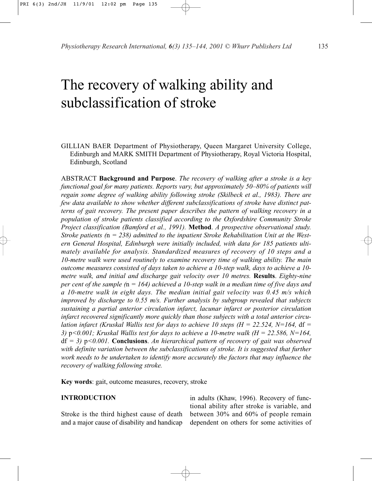# The recovery of walking ability and subclassification of stroke

GILLIAN BAER Department of Physiotherapy, Queen Margaret University College, Edinburgh and MARK SMITH Department of Physiotherapy, Royal Victoria Hospital, Edinburgh, Scotland

ABSTRACT **Background and Purpose**. *The recovery of walking after a stroke is a key functional goal for many patients. Reports vary, but approximately 50–80% of patients will regain some degree of walking ability following stroke (Skilbeck et al., 1983). There are few data available to show whether different subclassifications of stroke have distinct patterns of gait recovery. The present paper describes the pattern of walking recovery in a population of stroke patients classified according to the Oxfordshire Community Stroke Project classification (Bamford et al., 1991).* **Method**. *A prospective observational study. Stroke patients (*n *= 238) admitted to the inpatient Stroke Rehabilitation Unit at the Western General Hospital, Edinburgh were initially included, with data for 185 patients ultimately available for analysis. Standardized measures of recovery of 10 steps and a 10-metre walk were used routinely to examine recovery time of walking ability. The main outcome measures consisted of days taken to achieve a 10-step walk, days to achieve a 10 metre walk, and initial and discharge gait velocity over 10 metres.* **Results**. *Eighty-nine per cent of the sample (*n *= 164) achieved a 10-step walk in a median time of five days and a 10-metre walk in eight days. The median initial gait velocity was 0.45 m/s which improved by discharge to 0.55 m/s. Further analysis by subgroup revealed that subjects sustaining a partial anterior circulation infarct, lacunar infarct or posterior circulation infarct recovered significantly more quickly than those subjects with a total anterior circulation infarct (Kruskal Wallis test for days to achieve 10 steps (H = 22.524, N=164,* df *= 3)* p*<0.001; Kruskal Wallis test for days to achieve a 10-metre walk (H = 22.586, N=164,* df *= 3)* p*<0.001.* **Conclusions**. *An hierarchical pattern of recovery of gait was observed with definite variation between the subclassifications of stroke. It is suggested that further work needs to be undertaken to identify more accurately the factors that may influence the recovery of walking following stroke.*

**Key words**: gait, outcome measures, recovery, stroke

## **INTRODUCTION**

Stroke is the third highest cause of death and a major cause of disability and handicap in adults (Khaw, 1996). Recovery of functional ability after stroke is variable, and between 30% and 60% of people remain dependent on others for some activities of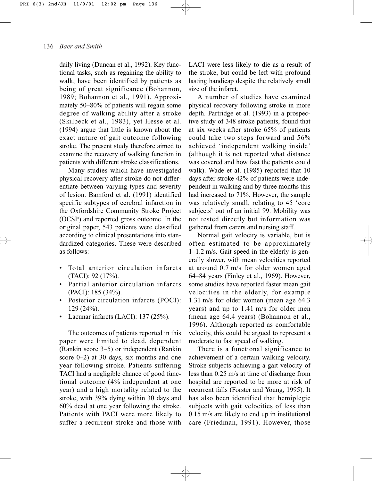daily living (Duncan et al., 1992). Key functional tasks, such as regaining the ability to walk, have been identified by patients as being of great significance (Bohannon, 1989; Bohannon et al., 1991). Approximately 50–80% of patients will regain some degree of walking ability after a stroke (Skilbeck et al., 1983), yet Hesse et al. (1994) argue that little is known about the exact nature of gait outcome following stroke. The present study therefore aimed to examine the recovery of walking function in patients with different stroke classifications.

Many studies which have investigated physical recovery after stroke do not differentiate between varying types and severity of lesion. Bamford et al. (1991) identified specific subtypes of cerebral infarction in the Oxfordshire Community Stroke Project (OCSP) and reported gross outcome. In the original paper, 543 patients were classified according to clinical presentations into standardized categories. These were described as follows:

- Total anterior circulation infarcts (TACI): 92 (17%).
- Partial anterior circulation infarcts (PACI): 185 (34%).
- Posterior circulation infarcts (POCI): 129 (24%).
- Lacunar infarcts (LACI): 137 (25%).

The outcomes of patients reported in this paper were limited to dead, dependent (Rankin score 3–5) or independent (Rankin score 0–2) at 30 days, six months and one year following stroke. Patients suffering TACI had a negligible chance of good functional outcome (4% independent at one year) and a high mortality related to the stroke, with 39% dying within 30 days and 60% dead at one year following the stroke. Patients with PACI were more likely to suffer a recurrent stroke and those with

LACI were less likely to die as a result of the stroke, but could be left with profound lasting handicap despite the relatively small size of the infarct.

A number of studies have examined physical recovery following stroke in more depth. Partridge et al. (1993) in a prospective study of 348 stroke patients, found that at six weeks after stroke 65% of patients could take two steps forward and 56% achieved 'independent walking inside' (although it is not reported what distance was covered and how fast the patients could walk). Wade et al. (1985) reported that 10 days after stroke 42% of patients were independent in walking and by three months this had increased to 71%. However, the sample was relatively small, relating to 45 'core subjects' out of an initial 99. Mobility was not tested directly but information was gathered from carers and nursing staff.

Normal gait velocity is variable, but is often estimated to be approximately 1–1.2 m/s. Gait speed in the elderly is generally slower, with mean velocities reported at around 0.7 m/s for older women aged 64–84 years (Finley et al., 1969). However, some studies have reported faster mean gait velocities in the elderly, for example 1.31 m/s for older women (mean age 64.3 years) and up to 1.41 m/s for older men (mean age 64.4 years) (Bohannon et al., 1996). Although reported as comfortable velocity, this could be argued to represent a moderate to fast speed of walking.

There is a functional significance to achievement of a certain walking velocity. Stroke subjects achieving a gait velocity of less than 0.25 m/s at time of discharge from hospital are reported to be more at risk of recurrent falls (Forster and Young, 1995). It has also been identified that hemiplegic subjects with gait velocities of less than 0.15 m/s are likely to end up in institutional care (Friedman, 1991). However, those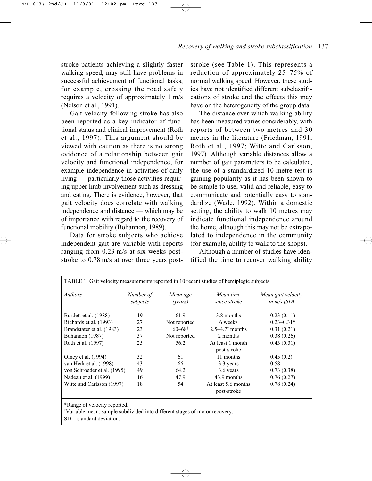stroke patients achieving a slightly faster walking speed, may still have problems in successful achievement of functional tasks, for example, crossing the road safely requires a velocity of approximately 1 m/s (Nelson et al., 1991).

Gait velocity following stroke has also been reported as a key indicator of functional status and clinical improvement (Roth et al., 1997). This argument should be viewed with caution as there is no strong evidence of a relationship between gait velocity and functional independence, for example independence in activities of daily living — particularly those activities requiring upper limb involvement such as dressing and eating. There is evidence, however, that gait velocity does correlate with walking independence and distance — which may be of importance with regard to the recovery of functional mobility (Bohannon, 1989).

Data for stroke subjects who achieve independent gait are variable with reports ranging from 0.23 m/s at six weeks poststroke to 0.78 m/s at over three years poststroke (see Table 1). This represents a reduction of approximately 25–75% of normal walking speed. However, these studies have not identified different subclassifications of stroke and the effects this may have on the heterogeneity of the group data.

The distance over which walking ability has been measured varies considerably, with reports of between two metres and 30 metres in the literature (Friedman, 1991; Roth et al., 1997; Witte and Carlsson, 1997). Although variable distances allow a number of gait parameters to be calculated, the use of a standardized 10-metre test is gaining popularity as it has been shown to be simple to use, valid and reliable, easy to communicate and potentially easy to standardize (Wade, 1992). Within a domestic setting, the ability to walk 10 metres may indicate functional independence around the home, although this may not be extrapolated to independence in the community (for example, ability to walk to the shops).

Although a number of studies have identified the time to recover walking ability

| TABLE 1: Gait velocity measurements reported in 10 recent studies of hemiplegic subjects |                       |                        |                                    |                                     |  |
|------------------------------------------------------------------------------------------|-----------------------|------------------------|------------------------------------|-------------------------------------|--|
| <i>Authors</i>                                                                           | Number of<br>subjects | Mean age<br>(vears)    | Mean time<br>since stroke          | Mean gait velocity<br>in $m/s$ (SD) |  |
| Burdett et al. (1988)                                                                    | 19                    | 61.9                   | 3.8 months                         | 0.23(0.11)                          |  |
| Richards et al. (1993)                                                                   | 27                    | Not reported           | 6 weeks                            | $0.23 - 0.31*$                      |  |
| Brandstater et al. (1983)                                                                | 23                    | $60 - 68$ <sup>†</sup> | $2.5 - 4.7$ months                 | 0.31(0.21)                          |  |
| Bohannon (1987)                                                                          | 37                    | Not reported           | 2 months                           | 0.38(0.26)                          |  |
| Roth et al. (1997)                                                                       | 25                    | 56.2                   | At least 1 month<br>post-stroke    | 0.43(0.31)                          |  |
| Olney et al. (1994)                                                                      | 32                    | 61                     | 11 months                          | 0.45(0.2)                           |  |
| van Herk et al. (1998)                                                                   | 43                    | 66                     | 3.3 years                          | 0.58                                |  |
| von Schroeder et al. (1995)                                                              | 49                    | 64.2                   | 3.6 years                          | 0.73(0.38)                          |  |
| Nadeau et al. (1999)                                                                     | 16                    | 47.9                   | 43.9 months                        | 0.76(0.27)                          |  |
| Witte and Carlsson (1997)                                                                | 18                    | 54                     | At least 5.6 months<br>post-stroke | 0.78(0.24)                          |  |
|                                                                                          |                       |                        |                                    |                                     |  |

\*Range of velocity reported.

† Variable mean: sample subdivided into different stages of motor recovery.

 $SD =$  standard deviation.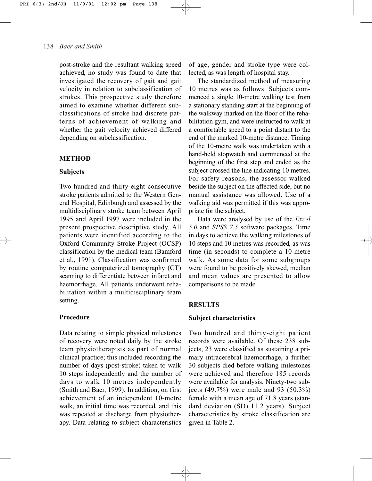post-stroke and the resultant walking speed achieved, no study was found to date that investigated the recovery of gait and gait velocity in relation to subclassification of strokes. This prospective study therefore aimed to examine whether different subclassifications of stroke had discrete patterns of achievement of walking and whether the gait velocity achieved differed depending on subclassification.

# **METHOD**

## **Subjects**

Two hundred and thirty-eight consecutive stroke patients admitted to the Western General Hospital, Edinburgh and assessed by the multidisciplinary stroke team between April 1995 and April 1997 were included in the present prospective descriptive study. All patients were identified according to the Oxford Community Stroke Project (OCSP) classification by the medical team (Bamford et al., 1991). Classification was confirmed by routine computerized tomography (CT) scanning to differentiate between infarct and haemorrhage. All patients underwent rehabilitation within a multidisciplinary team setting.

#### **Procedure**

Data relating to simple physical milestones of recovery were noted daily by the stroke team physiotherapists as part of normal clinical practice; this included recording the number of days (post-stroke) taken to walk 10 steps independently and the number of days to walk 10 metres independently (Smith and Baer, 1999). In addition, on first achievement of an independent 10-metre walk, an initial time was recorded, and this was repeated at discharge from physiotherapy. Data relating to subject characteristics

of age, gender and stroke type were collected, as was length of hospital stay.

The standardized method of measuring 10 metres was as follows. Subjects commenced a single 10-metre walking test from a stationary standing start at the beginning of the walkway marked on the floor of the rehabilitation gym, and were instructed to walk at a comfortable speed to a point distant to the end of the marked 10-metre distance. Timing of the 10-metre walk was undertaken with a hand-held stopwatch and commenced at the beginning of the first step and ended as the subject crossed the line indicating 10 metres. For safety reasons, the assessor walked beside the subject on the affected side, but no manual assistance was allowed. Use of a walking aid was permitted if this was appropriate for the subject.

Data were analysed by use of the *Excel 5.0* and *SPSS 7.5* software packages. Time in days to achieve the walking milestones of 10 steps and 10 metres was recorded, as was time (in seconds) to complete a 10-metre walk. As some data for some subgroups were found to be positively skewed, median and mean values are presented to allow comparisons to be made.

# **RESULTS**

#### **Subject characteristics**

Two hundred and thirty-eight patient records were available. Of these 238 subjects, 23 were classified as sustaining a primary intracerebral haemorrhage, a further 30 subjects died before walking milestones were achieved and therefore 185 records were available for analysis. Ninety-two subjects (49.7%) were male and 93 (50.3%) female with a mean age of 71.8 years (standard deviation (SD) 11.2 years). Subject characteristics by stroke classification are given in Table 2.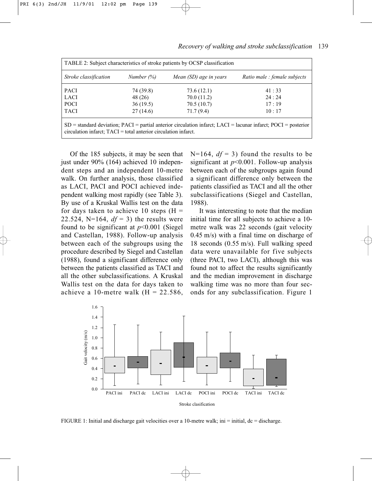| TABLE 2: Subject characteristics of stroke patients by OCSP classification                                                                                                                |               |                        |                              |  |  |
|-------------------------------------------------------------------------------------------------------------------------------------------------------------------------------------------|---------------|------------------------|------------------------------|--|--|
| Stroke classification                                                                                                                                                                     | Number $(\%)$ | Mean (SD) age in years | Ratio male : female subjects |  |  |
| <b>PACI</b>                                                                                                                                                                               | 74 (39.8)     | 73.6(12.1)             | 41:33                        |  |  |
| <b>LACI</b>                                                                                                                                                                               | 48 (26)       | 70.0(11.2)             | 24:24                        |  |  |
| <b>POCI</b>                                                                                                                                                                               | 36(19.5)      | 70.5(10.7)             | 17:19                        |  |  |
| <b>TACI</b>                                                                                                                                                                               | 27(14.6)      | 71.7(9.4)              | 10:17                        |  |  |
| $SD$ = standard deviation; $PACI$ = partial anterior circulation infarct; LACI = lacunar infarct; POCI = posterior<br>$circulation$ infarct; $TACI = total$ anterior circulation infarct. |               |                        |                              |  |  |

139 *Recovery of walking and stroke subclassification*

Of the 185 subjects, it may be seen that just under 90% (164) achieved 10 independent steps and an independent 10-metre walk. On further analysis, those classified as LACI, PACI and POCI achieved independent walking most rapidly (see Table 3). By use of a Kruskal Wallis test on the data for days taken to achieve 10 steps  $(H =$ 22.524, N=164,  $df = 3$ ) the results were found to be significant at *p*<0.001 (Siegel and Castellan, 1988). Follow-up analysis between each of the subgroups using the procedure described by Siegel and Castellan (1988), found a significant difference only between the patients classified as TACI and all the other subclassifications. A Kruskal Wallis test on the data for days taken to achieve a 10-metre walk ( $H = 22.586$ ,  $N=164$ ,  $df = 3$ ) found the results to be significant at *p*<0.001. Follow-up analysis between each of the subgroups again found a significant difference only between the patients classified as TACI and all the other subclassifications (Siegel and Castellan, 1988).

It was interesting to note that the median initial time for all subjects to achieve a 10 metre walk was 22 seconds (gait velocity 0.45 m/s) with a final time on discharge of 18 seconds (0.55 m/s). Full walking speed data were unavailable for five subjects (three PACI, two LACI), although this was found not to affect the results significantly and the median improvement in discharge walking time was no more than four seconds for any subclassification. Figure 1



FIGURE 1: Initial and discharge gait velocities over a 10-metre walk; ini = initial, dc = discharge.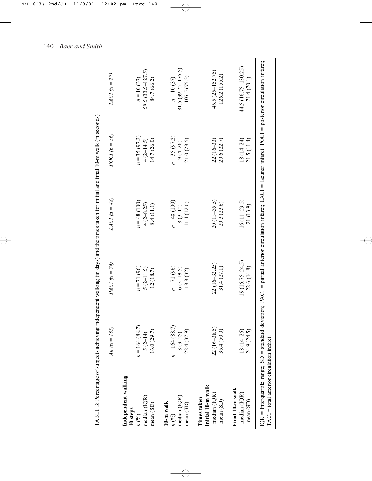|                                                                                 |                                             | TABLE 3: Percentage of subjects achieving independent walking (in days) and the times taken for initial and final 10-m walk (in seconds)                       |                                           |                                             |                                                      |
|---------------------------------------------------------------------------------|---------------------------------------------|----------------------------------------------------------------------------------------------------------------------------------------------------------------|-------------------------------------------|---------------------------------------------|------------------------------------------------------|
|                                                                                 | 185)<br>$dll \ln m$                         | $PACI$ (n = 74)                                                                                                                                                | LACI (n = 48)                             | $POCI (n = 36)$                             | $TACI (n = 27)$                                      |
| Independent walking<br>median (IQR)<br>mean (SD)<br>10 steps<br>$n\binom{0}{0}$ | $n = 164(88.7)$<br>16.0(29.7)<br>$5(2-14)$  | $n = 71(96)$<br>$5(2-11.5)$<br>12(18.7)                                                                                                                        | $n = 48(100)$<br>$4(2-8.25)$<br>8.4(11.1) | $n = 35(97.2)$<br>14.7(26.0)<br>$4(2-14.5)$ | $59.5(33.5 - 127.5)$<br>$n = 10(37)$<br>84.7 (66.2)  |
| median (IQR)<br>$10-m$ walk<br>mean (SD)<br>$n\binom{0}{0}$                     | $n = 164(88.7)$<br>22.4 (37.9)<br>$8(3-25)$ | $n = 71(96)$<br>$6(3-19.5)$<br>18.8 (32)                                                                                                                       | $n = 48(100)$<br>11.4(12.6)<br>$8(3-15)$  | $n = 35(97.2)$<br>21.0(28.5)<br>$9(4 - 26)$ | $81.5(39.75 - 176.5)$<br>105.5(75.3)<br>$n = 10(37)$ |
| Initial 10-m walk<br>median (IQR)<br>Times taken<br>mean (SD)                   | $22(16 - 38.5)$<br>36.4 (50.0)              | 22 (16-32.25)<br>31.4(27.1)                                                                                                                                    | $20(13-35.5)$<br>29.3 (23.6)              | $22(16-33)$<br>29.6 (22.7)                  | 46.5 (25-152.75)<br>126.2 (155.2)                    |
| Final 10-m walk<br>median (IQR)<br>mean (SD)                                    | 18 (14-26)<br>24.9 (24.5)                   | $19(15.75 - 24.5)$<br>22.6 (14.8)                                                                                                                              | $16(11-23.5)$<br>21 (13.9)                | $18(14 - 24)$<br>21.5 (11.4)                | 44.5 (16.75-130.25)<br>71.4 (70.1)                   |
| $TACI = total$ anterior circulation infarct                                     |                                             | IQR = Interquartile range; SD = standard deviation; PACI = partial anterior circulation infarct; LACI = lacunar infarct; POCI = posterior circulation infarct; |                                           |                                             |                                                      |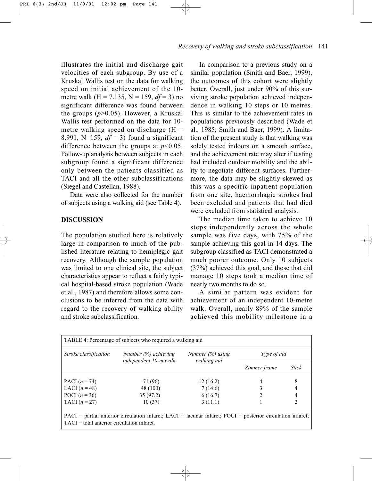141 *Recovery of walking and stroke subclassification*

illustrates the initial and discharge gait velocities of each subgroup. By use of a Kruskal Wallis test on the data for walking speed on initial achievement of the 10 metre walk (H = 7.135, N = 159, *df* = 3) no significant difference was found between the groups (*p*>0.05). However, a Kruskal Wallis test performed on the data for 10 metre walking speed on discharge  $(H =$ 8.991, N=159,  $df = 3$ ) found a significant difference between the groups at  $p<0.05$ . Follow-up analysis between subjects in each subgroup found a significant difference only between the patients classified as TACI and all the other subclassifications (Siegel and Castellan, 1988).

Data were also collected for the number of subjects using a walking aid (see Table 4).

# **DISCUSSION**

The population studied here is relatively large in comparison to much of the published literature relating to hemiplegic gait recovery. Although the sample population was limited to one clinical site, the subject characteristics appear to reflect a fairly typical hospital-based stroke population (Wade et al., 1987) and therefore allows some conclusions to be inferred from the data with regard to the recovery of walking ability and stroke subclassification.

In comparison to a previous study on a similar population (Smith and Baer, 1999), the outcomes of this cohort were slightly better. Overall, just under 90% of this surviving stroke population achieved independence in walking 10 steps or 10 metres. This is similar to the achievement rates in populations previously described (Wade et al., 1985; Smith and Baer, 1999). A limitation of the present study is that walking was solely tested indoors on a smooth surface, and the achievement rate may alter if testing had included outdoor mobility and the ability to negotiate different surfaces. Furthermore, the data may be slightly skewed as this was a specific inpatient population from one site, haemorrhagic strokes had been excluded and patients that had died were excluded from statistical analysis.

The median time taken to achieve 10 steps independently across the whole sample was five days, with 75% of the sample achieving this goal in 14 days. The subgroup classified as TACI demonstrated a much poorer outcome. Only 10 subjects (37%) achieved this goal, and those that did manage 10 steps took a median time of nearly two months to do so.

A similar pattern was evident for achievement of an independent 10-metre walk. Overall, nearly 89% of the sample achieved this mobility milestone in a

| TABLE 4: Percentage of subjects who required a walking aid                                                   |                                                  |                                    |                    |              |  |  |
|--------------------------------------------------------------------------------------------------------------|--------------------------------------------------|------------------------------------|--------------------|--------------|--|--|
| Stroke classification                                                                                        | Number $(\%)$ achieving<br>independent 10-m walk | Number $(\%)$ using<br>walking aid | <i>Type of aid</i> |              |  |  |
|                                                                                                              |                                                  |                                    | Zimmer frame       | <b>Stick</b> |  |  |
| PACI $(n = 74)$                                                                                              | 71 (96)                                          | 12(16.2)                           |                    | 8            |  |  |
| LACI $(n=48)$                                                                                                | 48 (100)                                         | 7(14.6)                            |                    | 4            |  |  |
| POCI $(n = 36)$                                                                                              | 35(97.2)                                         | 6(16.7)                            |                    |              |  |  |
| TACI $(n=27)$                                                                                                | 10(37)                                           | 3(11.1)                            |                    |              |  |  |
| $PACI$ = partial anterior circulation infarct; LACI = lacunar infarct; POCI = posterior circulation infarct; |                                                  |                                    |                    |              |  |  |

TACI = total anterior circulation infarct.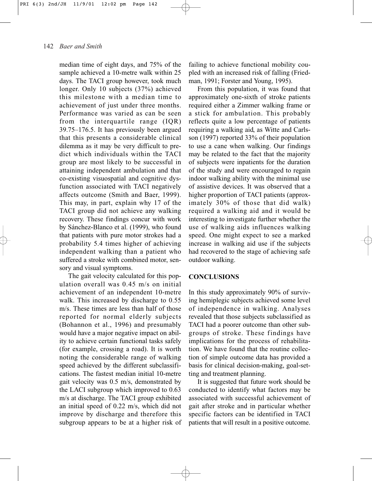median time of eight days, and 75% of the sample achieved a 10-metre walk within 25 days. The TACI group however, took much longer. Only 10 subjects (37%) achieved this milestone with a median time to achievement of just under three months. Performance was varied as can be seen from the interquartile range (IQR) 39.75–176.5. It has previously been argued that this presents a considerable clinical dilemma as it may be very difficult to predict which individuals within the TACI group are most likely to be successful in attaining independent ambulation and that co-existing visuospatial and cognitive dysfunction associated with TACI negatively affects outcome (Smith and Baer, 1999). This may, in part, explain why 17 of the TACI group did not achieve any walking recovery. These findings concur with work by Sánchez-Blanco et al. (1999), who found that patients with pure motor strokes had a probability 5.4 times higher of achieving independent walking than a patient who suffered a stroke with combined motor, sensory and visual symptoms.

The gait velocity calculated for this population overall was 0.45 m/s on initial achievement of an independent 10-metre walk. This increased by discharge to 0.55 m/s. These times are less than half of those reported for normal elderly subjects (Bohannon et al., 1996) and presumably would have a major negative impact on ability to achieve certain functional tasks safely (for example, crossing a road). It is worth noting the considerable range of walking speed achieved by the different subclassifications. The fastest median initial 10-metre gait velocity was 0.5 m/s, demonstrated by the LACI subgroup which improved to 0.63 m/s at discharge. The TACI group exhibited an initial speed of 0.22 m/s, which did not improve by discharge and therefore this subgroup appears to be at a higher risk of failing to achieve functional mobility coupled with an increased risk of falling (Friedman, 1991; Forster and Young, 1995).

From this population, it was found that approximately one-sixth of stroke patients required either a Zimmer walking frame or a stick for ambulation. This probably reflects quite a low percentage of patients requiring a walking aid, as Witte and Carlsson (1997) reported 33% of their population to use a cane when walking. Our findings may be related to the fact that the majority of subjects were inpatients for the duration of the study and were encouraged to regain indoor walking ability with the minimal use of assistive devices. It was observed that a higher proportion of TACI patients (approximately 30% of those that did walk) required a walking aid and it would be interesting to investigate further whether the use of walking aids influences walking speed. One might expect to see a marked increase in walking aid use if the subjects had recovered to the stage of achieving safe outdoor walking.

# **CONCLUSIONS**

In this study approximately 90% of surviving hemiplegic subjects achieved some level of independence in walking. Analyses revealed that those subjects subclassified as TACI had a poorer outcome than other subgroups of stroke. These findings have implications for the process of rehabilitation. We have found that the routine collection of simple outcome data has provided a basis for clinical decision-making, goal-setting and treatment planning.

It is suggested that future work should be conducted to identify what factors may be associated with successful achievement of gait after stroke and in particular whether specific factors can be identified in TACI patients that will result in a positive outcome.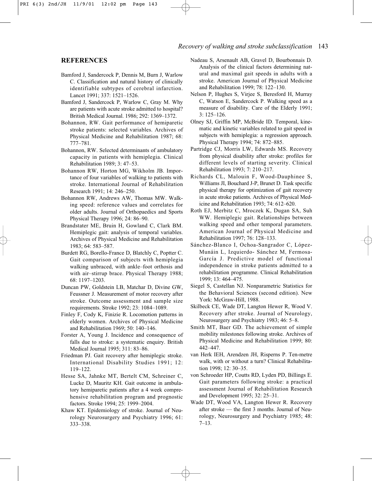# 143 *Recovery of walking and stroke subclassification*

#### **REFERENCES**

- Bamford J, Sandercock P, Dennis M, Burn J, Warlow C. Classification and natural history of clinically identifiable subtypes of cerebral infarction. Lancet 1991; 337: 1521–1526.
- Bamford J, Sandercock P, Warlow C, Gray M. Why are patients with acute stroke admitted to hospital? British Medical Journal. 1986; 292: 1369–1372.
- Bohannon, RW. Gait performance of hemiparetic stroke patients: selected variables. Archives of Physical Medicine and Rehabilitation 1987; 68: 777–781.
- Bohannon, RW. Selected determinants of ambulatory capacity in patients with hemiplegia. Clinical Rehabilitation 1989; 3: 47–53.
- Bohannon RW, Horton MG, Wikholm JB. Importance of four variables of walking to patients with stroke. International Journal of Rehabilitation Research 1991; 14: 246–250.
- Bohannon RW, Andrews AW, Thomas MW. Walking speed: reference values and correlates for older adults. Journal of Orthopaedics and Sports Physical Therapy 1996; 24: 86–90.
- Brandstater ME, Bruin H, Gowland C, Clark BM. Hemiplegic gait: analysis of temporal variables. Archives of Physical Medicine and Rehabilitation 1983; 64: 583–587.
- Burdett RG, Borello-France D, Blatchly C, Poptter C. Gait comparison of subjects with hemiplegia walking unbraced, with ankle–foot orthosis and with air–stirrup brace. Physical Therapy 1988; 68: 1197–1203.
- Duncan PW, Goldstein LB, Matchar D, Divine GW, Feussner J. Measurement of motor recovery after stroke. Outcome assessment and sample size requirements. Stroke 1992; 23: 1084–1089.
- Finley F, Cody K, Finizie R. Locomotion patterns in elderly women. Archives of Physical Medicine and Rehabilitation 1969; 50: 140–146.
- Forster A, Young J. Incidence and consequence of falls due to stroke: a systematic enquiry. British Medical Journal 1995; 311: 83–86.
- Friedman PJ. Gait recovery after hemiplegic stroke. International Disability Studies 1991; 12: 119–122.
- Hesse SA, Jahnke MT, Bertelt CM, Schreiner C, Lucke D, Mauritz KH. Gait outcome in ambulatory hemiparetic patients after a 4 week comprehensive rehabilitation program and prognostic factors. Stroke 1994; 25: 1999–2004.
- Khaw KT. Epidemiology of stroke. Journal of Neurology Neurosurgery and Psychiatry 1996; 61: 333–338.
- Nadeau S, Arsenault AB, Gravel D, Bourbonnais D. Analysis of the clinical factors determining natural and maximal gait speeds in adults with a stroke. American Journal of Physical Medicine and Rehabilitation 1999; 78: 122–130.
- Nelson P, Hughes S, Virjee S, Beresford H, Murray C, Watson E, Sandercock P. Walking speed as a measure of disability. Care of the Elderly 1991; 3: 125–126.
- Olney SJ, Griffin MP, McBride ID. Temporal, kinematic and kinetic variables related to gait speed in subjects with hemiplegia: a regression approach. Physical Therapy 1994; 74: 872–885.
- Partridge CJ, Morris LW, Edwards MS. Recovery from physical disability after stroke: profiles for different levels of starting severity. Clinical Rehabilitation 1993; 7: 210–217.
- Richards CL, Malouin F, Wood-Dauphinee S, Williams JI, Bouchard J-P, Brunet D. Task specific physical therapy for optimization of gait recovery in acute stroke patients. Archives of Physical Medicine and Rehabilitation 1993; 74: 612–620.
- Roth EJ, Merbitz C, Mroczek K, Dugan SA, Suh WW. Hemiplegic gait. Relationships between walking speed and other temporal parameters. American Journal of Physical Medicine and Rehabilitation 1997; 76: 128–133.
- Sánchez-Blanco I, Ochoa-Sangrador C, López-Munáin L, Izquierdo- Sánchez M, Fermosa-García J. Predictive model of functional independence in stroke patients admitted to a rehabilitation programme. Clinical Rehabilitation 1999; 13: 464–475.
- Siegel S, Castellan NJ. Nonparametric Statistics for the Behavioral Sciences (second edition). New York: McGraw-Hill, 1988.
- Skilbeck CE, Wade DT, Langton Hewer R, Wood V. Recovery after stroke. Journal of Neurology, Neurosurgery and Psychiatry 1983; 46: 5–8.
- Smith MT, Baer GD. The achievement of simple mobility milestones following stroke. Archives of Physical Medicine and Rehabilitation 1999; 80: 442–447.
- van Herk IEH, Arendzen JH, Risperns P. Ten-metre walk, with or without a turn? Clinical Rehabilitation 1998; 12: 30–35.
- von Schroeder HP, Coutts RD, Lyden PD, Billings E. Gait parameters following stroke: a practical assessment Journal of Rehabilitation Research and Development 1995; 32: 25–31.
- Wade DT, Wood VA, Langton Hewer R. Recovery after stroke — the first 3 months. Journal of Neurology, Neurosurgery and Psychiatry 1985; 48: 7–13.